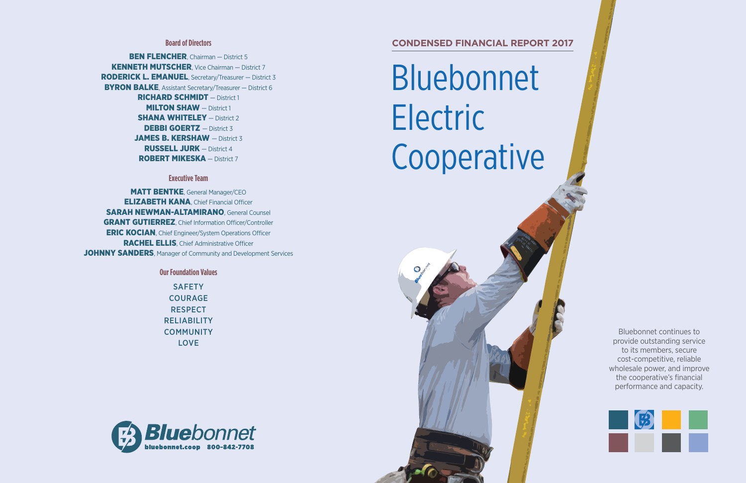# Bluebonnet Electric Cooperative



**BEN FLENCHER**, Chairman – District 5 **KENNETH MUTSCHER, Vice Chairman - District 7** RODERICK L. EMANUEL, Secretary/Treasurer — District 3 **BYRON BALKE, Assistant Secretary/Treasurer – District 6** RICHARD SCHMIDT — District 1 **MILTON SHAW** – District 1 **SHANA WHITELEY** - District 2 DEBBI GOERTZ - District 3 JAMES B. KERSHAW - District 3 RUSSELL JURK — District 4 ROBERT MIKESKA — District 7

> **SAFETY** COURAGE **RESPECT** RELIABILITY **COMMUNITY** LOVE



## **Board of Directors CONDENSED FINANCIAL REPORT 2017**

### **Executive Team**

**MATT BENTKE, General Manager/CEO ELIZABETH KANA**, Chief Financial Officer SARAH NEWMAN-ALTAMIRANO General Counsel GRANT GUTIERREZ, Chief Information Officer/Controller ERIC KOCIAN, Chief Engineer/System Operations Officer RACHEL ELLIS, Chief Administrative Officer JOHNNY SANDERS, Manager of Community and Development Services

**Our Foundation Values**

Bluebonnet continues to provide outstanding service to its members, secure cost-competitive, reliable wholesale power, and improve the cooperative's financial performance and capacity.